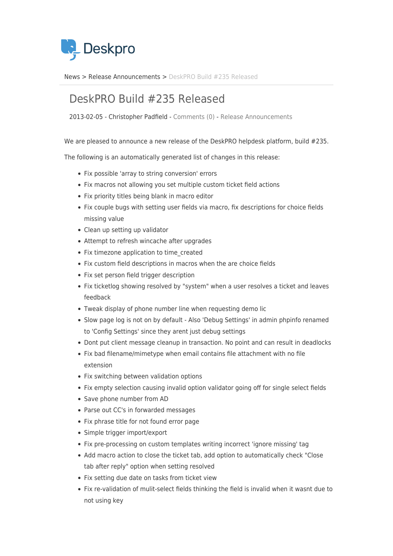

[News](https://support.deskpro.com/da/news) > [Release Announcements](https://support.deskpro.com/da/news/release-announcements) > [DeskPRO Build #235 Released](https://support.deskpro.com/da/news/posts/deskpro-build-235-released)

## DeskPRO Build #235 Released

2013-02-05 - Christopher Padfield - [Comments \(0\)](#page--1-0) - [Release Announcements](https://support.deskpro.com/da/news/release-announcements)

We are pleased to announce a new release of the DeskPRO helpdesk platform, build #235.

The following is an automatically generated list of changes in this release:

- Fix possible 'array to string conversion' errors
- Fix macros not allowing you set multiple custom ticket field actions
- Fix priority titles being blank in macro editor
- Fix couple bugs with setting user fields via macro, fix descriptions for choice fields missing value
- Clean up setting up validator
- Attempt to refresh wincache after upgrades
- Fix timezone application to time created
- Fix custom field descriptions in macros when the are choice fields
- Fix set person field trigger description
- Fix ticketlog showing resolved by "system" when a user resolves a ticket and leaves feedback
- Tweak display of phone number line when requesting demo lic
- Slow page log is not on by default Also 'Debug Settings' in admin phpinfo renamed to 'Config Settings' since they arent just debug settings
- Dont put client message cleanup in transaction. No point and can result in deadlocks
- Fix bad filename/mimetype when email contains file attachment with no file extension
- Fix switching between validation options
- Fix empty selection causing invalid option validator going off for single select fields
- Save phone number from AD
- Parse out CC's in forwarded messages
- Fix phrase title for not found error page
- Simple trigger import/export
- Fix pre-processing on custom templates writing incorrect 'ignore missing' tag
- Add macro action to close the ticket tab, add option to automatically check "Close tab after reply" option when setting resolved
- Fix setting due date on tasks from ticket view
- Fix re-validation of mulit-select fields thinking the field is invalid when it wasnt due to not using key